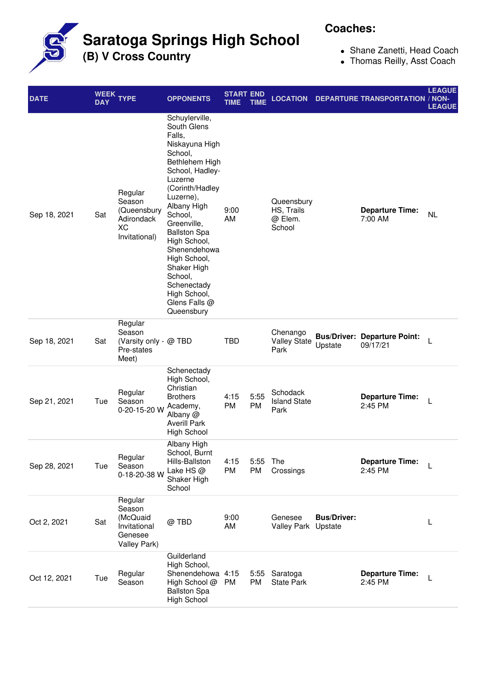**Saratoga Springs High School**

**(B) V Cross Country**

## **Coaches:**

- Shane Zanetti, Head Coach
- Thomas Reilly, Asst Coach

| <b>DATE</b>  | <b>DAY</b> | WEEK TYPE                                                                | <b>OPPONENTS</b>                                                                                                                                                                                                                                                                                                                                             | <b>START END</b><br>TIME | TIME              | <b>LOCATION</b>                               |                    | <b>DEPARTURE TRANSPORTATION / NON-</b>          | <b>LEAGUE</b><br><b>LEAGUE</b> |
|--------------|------------|--------------------------------------------------------------------------|--------------------------------------------------------------------------------------------------------------------------------------------------------------------------------------------------------------------------------------------------------------------------------------------------------------------------------------------------------------|--------------------------|-------------------|-----------------------------------------------|--------------------|-------------------------------------------------|--------------------------------|
| Sep 18, 2021 | Sat        | Regular<br>Season<br>(Queensbury<br>Adirondack<br>XC<br>Invitational)    | Schuylerville,<br>South Glens<br>Falls,<br>Niskayuna High<br>School,<br>Bethlehem High<br>School, Hadley-<br>Luzerne<br>(Corinth/Hadley<br>Luzerne),<br>Albany High<br>School,<br>Greenville,<br><b>Ballston Spa</b><br>High School,<br>Shenendehowa<br>High School,<br>Shaker High<br>School,<br>Schenectady<br>High School,<br>Glens Falls @<br>Queensbury | 9:00<br>AM               |                   | Queensbury<br>HS, Trails<br>@ Elem.<br>School |                    | <b>Departure Time:</b><br>7:00 AM               | <b>NL</b>                      |
| Sep 18, 2021 | Sat        | Regular<br>Season<br>(Varsity only - @ TBD<br>Pre-states<br>Meet)        |                                                                                                                                                                                                                                                                                                                                                              | <b>TBD</b>               |                   | Chenango<br><b>Valley State</b><br>Park       | Upstate            | <b>Bus/Driver: Departure Point:</b><br>09/17/21 | L                              |
| Sep 21, 2021 | Tue        | Regular<br>Season<br>0-20-15-20 W                                        | Schenectady<br>High School,<br>Christian<br><b>Brothers</b><br>Academy,<br>Albany @<br><b>Averill Park</b><br><b>High School</b>                                                                                                                                                                                                                             | 4:15<br>PM               | 5:55<br>PM        | Schodack<br><b>Island State</b><br>Park       |                    | <b>Departure Time:</b><br>2:45 PM               | L                              |
| Sep 28, 2021 | Tue        | Regular<br>Season<br>0-18-20-38 W                                        | Albany High<br>School, Burnt<br>Hills-Ballston<br>Lake HS @<br>Shaker High<br>School                                                                                                                                                                                                                                                                         | 4:15<br>PM               | 5:55<br><b>PM</b> | The<br>Crossings                              |                    | <b>Departure Time:</b><br>2:45 PM               | L                              |
| Oct 2, 2021  | Sat        | Regular<br>Season<br>(McQuaid<br>Invitational<br>Genesee<br>Valley Park) | @ TBD                                                                                                                                                                                                                                                                                                                                                        | 9:00<br>AM               |                   | Genesee<br>Valley Park Upstate                | <b>Bus/Driver:</b> |                                                 | L                              |
| Oct 12, 2021 | Tue        | Regular<br>Season                                                        | Guilderland<br>High School,<br>Shenendehowa 4:15<br>High School @<br><b>Ballston Spa</b><br><b>High School</b>                                                                                                                                                                                                                                               | PM                       | PM                | 5:55 Saratoga<br><b>State Park</b>            |                    | <b>Departure Time:</b><br>2:45 PM               |                                |
|              |            |                                                                          |                                                                                                                                                                                                                                                                                                                                                              |                          |                   |                                               |                    |                                                 |                                |